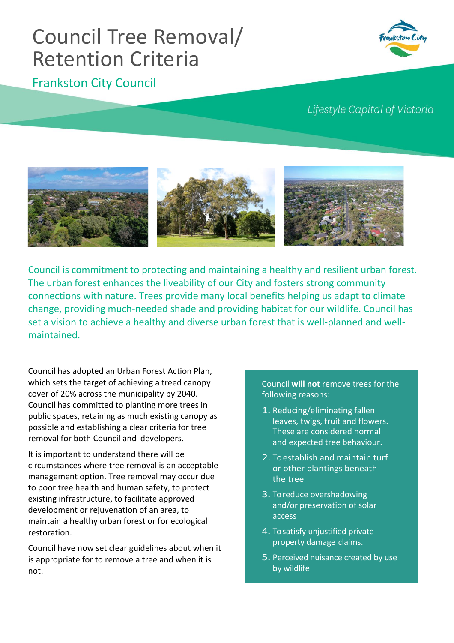## Council Tree Removal/ Retention Criteria

## Frankston City Council

Lifestyle Capital of Victoria



Council is commitment to protecting and maintaining a healthy and resilient urban forest. The urban forest enhances the liveability of our City and fosters strong community connections with nature. Trees provide many local benefits helping us adapt to climate change, providing much-needed shade and providing habitat for our wildlife. Council has set a vision to achieve a healthy and diverse urban forest that is well-planned and wellmaintained.

Council has adopted an Urban Forest Action Plan, which sets the target of achieving a treed canopy cover of 20% across the municipality by 2040. Council has committed to planting more trees in public spaces, retaining as much existing canopy as possible and establishing a clear criteria for tree removal for both Council and developers.

It is important to understand there will be circumstances where tree removal is an acceptable management option. Tree removal may occur due to poor tree health and human safety, to protect existing infrastructure, to facilitate approved development or rejuvenation of an area, to maintain a healthy urban forest or for ecological restoration.

Council have now set clear guidelines about when it is appropriate for to remove a tree and when it is not.

## Council **will not** remove trees for the following reasons:

- 1. Reducing/eliminating fallen leaves, twigs, fruit and flowers. These are considered normal and expected tree behaviour.
- 2. To establish and maintain turf or other plantings beneath the tree
- 3. To reduce overshadowing and/or preservation of solar access
- 4. To satisfy unjustified private property damage claims.
- 5. Perceived nuisance created by use by wildlife